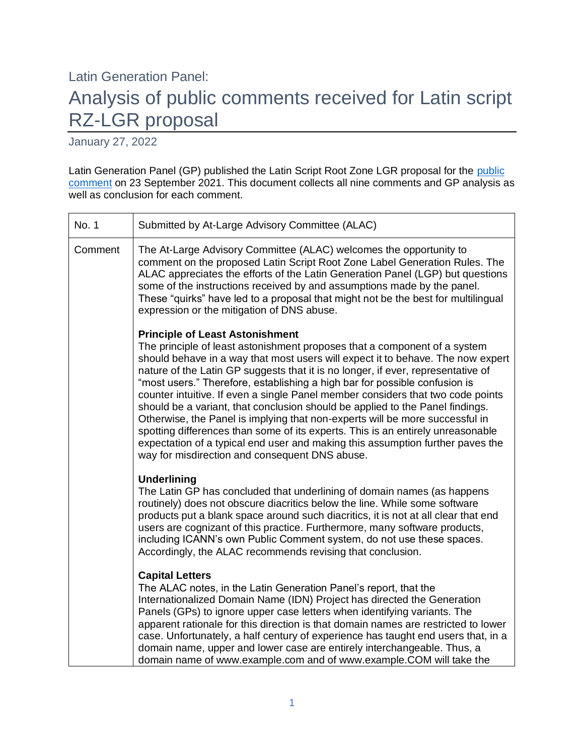# Latin Generation Panel: Analysis of public comments received for Latin script RZ-LGR proposal

January 27, 2022

Latin Generation Panel (GP) published the Latin Script Root Zone LGR proposal for the public [comment](https://www.icann.org/en/public-comment/proceeding/proposal-for-latin-script-root-zone-label-generation-rules-23-09-2021) on 23 September 2021. This document collects all nine comments and GP analysis as well as conclusion for each comment.

| No. 1   | Submitted by At-Large Advisory Committee (ALAC)                                                                                                                                                                                                                                                                                                                                                                                                                                                                                                                                                                                                                                                                                                                                                                                                     |
|---------|-----------------------------------------------------------------------------------------------------------------------------------------------------------------------------------------------------------------------------------------------------------------------------------------------------------------------------------------------------------------------------------------------------------------------------------------------------------------------------------------------------------------------------------------------------------------------------------------------------------------------------------------------------------------------------------------------------------------------------------------------------------------------------------------------------------------------------------------------------|
| Comment | The At-Large Advisory Committee (ALAC) welcomes the opportunity to<br>comment on the proposed Latin Script Root Zone Label Generation Rules. The<br>ALAC appreciates the efforts of the Latin Generation Panel (LGP) but questions<br>some of the instructions received by and assumptions made by the panel.<br>These "quirks" have led to a proposal that might not be the best for multilingual<br>expression or the mitigation of DNS abuse.                                                                                                                                                                                                                                                                                                                                                                                                    |
|         | <b>Principle of Least Astonishment</b><br>The principle of least astonishment proposes that a component of a system<br>should behave in a way that most users will expect it to behave. The now expert<br>nature of the Latin GP suggests that it is no longer, if ever, representative of<br>"most users." Therefore, establishing a high bar for possible confusion is<br>counter intuitive. If even a single Panel member considers that two code points<br>should be a variant, that conclusion should be applied to the Panel findings.<br>Otherwise, the Panel is implying that non-experts will be more successful in<br>spotting differences than some of its experts. This is an entirely unreasonable<br>expectation of a typical end user and making this assumption further paves the<br>way for misdirection and consequent DNS abuse. |
|         | <b>Underlining</b><br>The Latin GP has concluded that underlining of domain names (as happens<br>routinely) does not obscure diacritics below the line. While some software<br>products put a blank space around such diacritics, it is not at all clear that end<br>users are cognizant of this practice. Furthermore, many software products,<br>including ICANN's own Public Comment system, do not use these spaces.<br>Accordingly, the ALAC recommends revising that conclusion.                                                                                                                                                                                                                                                                                                                                                              |
|         | <b>Capital Letters</b><br>The ALAC notes, in the Latin Generation Panel's report, that the<br>Internationalized Domain Name (IDN) Project has directed the Generation<br>Panels (GPs) to ignore upper case letters when identifying variants. The<br>apparent rationale for this direction is that domain names are restricted to lower<br>case. Unfortunately, a half century of experience has taught end users that, in a<br>domain name, upper and lower case are entirely interchangeable. Thus, a<br>domain name of www.example.com and of www.example.COM will take the                                                                                                                                                                                                                                                                      |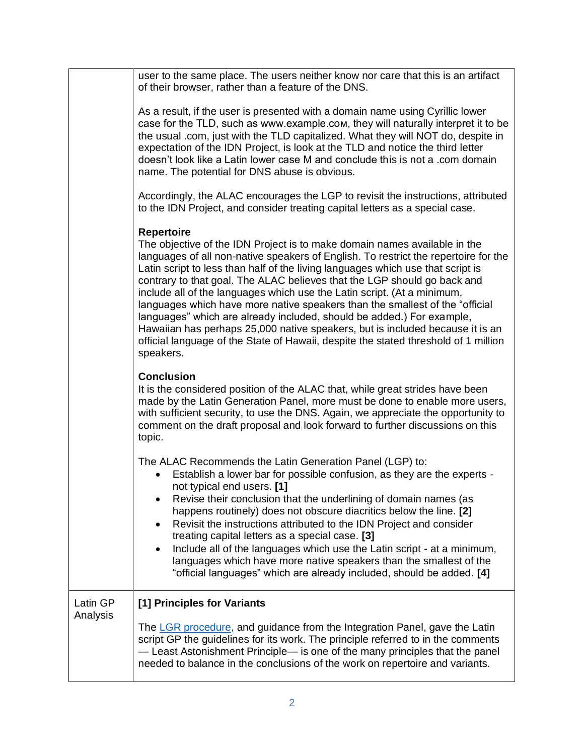|                      | user to the same place. The users neither know nor care that this is an artifact<br>of their browser, rather than a feature of the DNS.                                                                                                                                                                                                                                                                                                                                                                                                                                                                                                                                                                                                                                       |
|----------------------|-------------------------------------------------------------------------------------------------------------------------------------------------------------------------------------------------------------------------------------------------------------------------------------------------------------------------------------------------------------------------------------------------------------------------------------------------------------------------------------------------------------------------------------------------------------------------------------------------------------------------------------------------------------------------------------------------------------------------------------------------------------------------------|
|                      | As a result, if the user is presented with a domain name using Cyrillic lower<br>case for the TLD, such as www.example.com, they will naturally interpret it to be<br>the usual .com, just with the TLD capitalized. What they will NOT do, despite in<br>expectation of the IDN Project, is look at the TLD and notice the third letter<br>doesn't look like a Latin lower case M and conclude this is not a .com domain<br>name. The potential for DNS abuse is obvious.                                                                                                                                                                                                                                                                                                    |
|                      | Accordingly, the ALAC encourages the LGP to revisit the instructions, attributed<br>to the IDN Project, and consider treating capital letters as a special case.                                                                                                                                                                                                                                                                                                                                                                                                                                                                                                                                                                                                              |
|                      | <b>Repertoire</b><br>The objective of the IDN Project is to make domain names available in the<br>languages of all non-native speakers of English. To restrict the repertoire for the<br>Latin script to less than half of the living languages which use that script is<br>contrary to that goal. The ALAC believes that the LGP should go back and<br>include all of the languages which use the Latin script. (At a minimum,<br>languages which have more native speakers than the smallest of the "official<br>languages" which are already included, should be added.) For example,<br>Hawaiian has perhaps 25,000 native speakers, but is included because it is an<br>official language of the State of Hawaii, despite the stated threshold of 1 million<br>speakers. |
|                      | <b>Conclusion</b><br>It is the considered position of the ALAC that, while great strides have been<br>made by the Latin Generation Panel, more must be done to enable more users,<br>with sufficient security, to use the DNS. Again, we appreciate the opportunity to<br>comment on the draft proposal and look forward to further discussions on this<br>topic.                                                                                                                                                                                                                                                                                                                                                                                                             |
|                      | The ALAC Recommends the Latin Generation Panel (LGP) to:<br>Establish a lower bar for possible confusion, as they are the experts -<br>not typical end users. [1]<br>Revise their conclusion that the underlining of domain names (as<br>happens routinely) does not obscure diacritics below the line. [2]<br>Revisit the instructions attributed to the IDN Project and consider<br>treating capital letters as a special case. [3]<br>Include all of the languages which use the Latin script - at a minimum,<br>languages which have more native speakers than the smallest of the<br>"official languages" which are already included, should be added. [4]                                                                                                               |
| Latin GP<br>Analysis | [1] Principles for Variants                                                                                                                                                                                                                                                                                                                                                                                                                                                                                                                                                                                                                                                                                                                                                   |
|                      | The LGR procedure, and guidance from the Integration Panel, gave the Latin<br>script GP the guidelines for its work. The principle referred to in the comments<br>- Least Astonishment Principle- is one of the many principles that the panel<br>needed to balance in the conclusions of the work on repertoire and variants.                                                                                                                                                                                                                                                                                                                                                                                                                                                |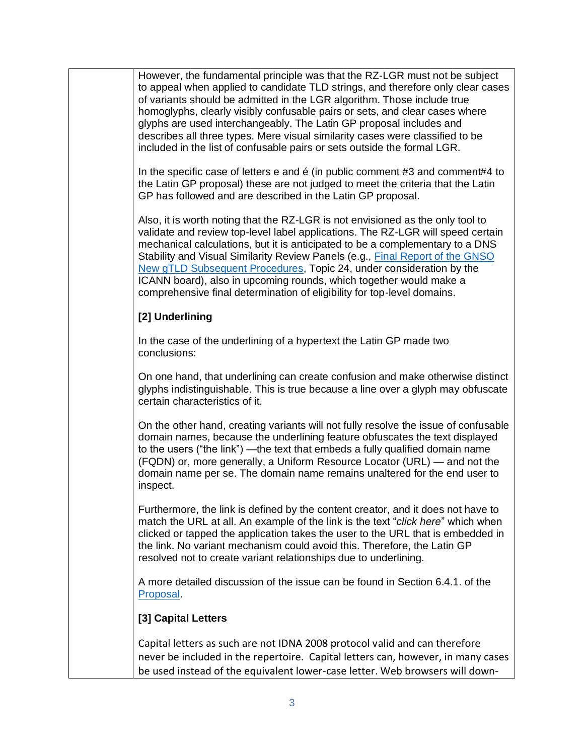However, the fundamental principle was that the RZ-LGR must not be subject to appeal when applied to candidate TLD strings, and therefore only clear cases of variants should be admitted in the LGR algorithm. Those include true homoglyphs, clearly visibly confusable pairs or sets, and clear cases where glyphs are used interchangeably. The Latin GP proposal includes and describes all three types. Mere visual similarity cases were classified to be included in the list of confusable pairs or sets outside the formal LGR.

In the specific case of letters e and é (in public comment #3 and comment#4 to the Latin GP proposal) these are not judged to meet the criteria that the Latin GP has followed and are described in the Latin GP proposal.

Also, it is worth noting that the RZ-LGR is not envisioned as the only tool to validate and review top-level label applications. The RZ-LGR will speed certain mechanical calculations, but it is anticipated to be a complementary to a DNS Stability and Visual Similarity Review Panels (e.g., [Final Report of the GNSO](https://gnso.icann.org/sites/default/files/file/field-file-attach/final-report-newgtld-subsequent-procedures-pdp-02feb21-en.pdf)  [New gTLD Subsequent Procedures,](https://gnso.icann.org/sites/default/files/file/field-file-attach/final-report-newgtld-subsequent-procedures-pdp-02feb21-en.pdf) Topic 24, under consideration by the ICANN board), also in upcoming rounds, which together would make a comprehensive final determination of eligibility for top-level domains.

#### **[2] Underlining**

In the case of the underlining of a hypertext the Latin GP made two conclusions:

On one hand, that underlining can create confusion and make otherwise distinct glyphs indistinguishable. This is true because a line over a glyph may obfuscate certain characteristics of it.

On the other hand, creating variants will not fully resolve the issue of confusable domain names, because the underlining feature obfuscates the text displayed to the users ("the link") —the text that embeds a fully qualified domain name (FQDN) or, more generally, a Uniform Resource Locator (URL) — and not the domain name per se. The domain name remains unaltered for the end user to inspect.

Furthermore, the link is defined by the content creator, and it does not have to match the URL at all. An example of the link is the text "*click here*" which when clicked or tapped the application takes the user to the URL that is embedded in the link. No variant mechanism could avoid this. Therefore, the Latin GP resolved not to create variant relationships due to underlining.

A more detailed discussion of the issue can be found in Section 6.4.1. of the [Proposal.](https://www.icann.org/en/system/files/files/proposal-latin-lgr-27jan22-en.pdf)

#### **[3] Capital Letters**

Capital letters as such are not IDNA 2008 protocol valid and can therefore never be included in the repertoire. Capital letters can, however, in many cases be used instead of the equivalent lower-case letter. Web browsers will down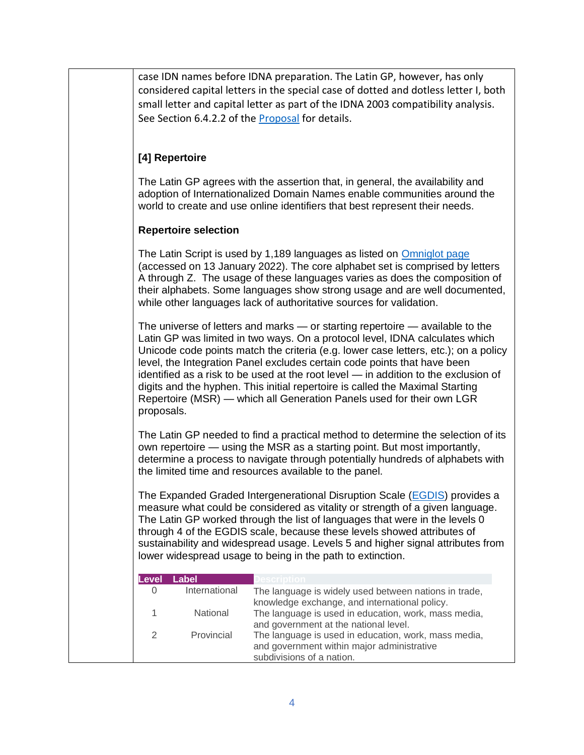case IDN names before IDNA preparation. The Latin GP, however, has only considered capital letters in the special case of dotted and dotless letter I, both small letter and capital letter as part of the IDNA 2003 compatibility analysis. See Section 6.4.2.2 of the [Proposal](https://www.icann.org/en/system/files/files/proposal-latin-lgr-27jan22-en.pdf) for details.

## **[4] Repertoire**

The Latin GP agrees with the assertion that, in general, the availability and adoption of Internationalized Domain Names enable communities around the world to create and use online identifiers that best represent their needs.

#### **Repertoire selection**

The Latin Script is used by 1,189 languages as listed on [Omniglot page](https://omniglot.com/writing/langalph.htm) (accessed on 13 January 2022). The core alphabet set is comprised by letters A through Z. The usage of these languages varies as does the composition of their alphabets. Some languages show strong usage and are well documented, while other languages lack of authoritative sources for validation.

The universe of letters and marks — or starting repertoire — available to the Latin GP was limited in two ways. On a protocol level, IDNA calculates which Unicode code points match the criteria (e.g. lower case letters, etc.); on a policy level, the Integration Panel excludes certain code points that have been identified as a risk to be used at the root level — in addition to the exclusion of digits and the hyphen. This initial repertoire is called the Maximal Starting Repertoire (MSR) — which all Generation Panels used for their own LGR proposals.

The Latin GP needed to find a practical method to determine the selection of its own repertoire — using the MSR as a starting point. But most importantly, determine a process to navigate through potentially hundreds of alphabets with the limited time and resources available to the panel.

The Expanded Graded Intergenerational Disruption Scale [\(EGDIS\)](https://www.ethnologue.com/about/language-status) provides a measure what could be considered as vitality or strength of a given language. The Latin GP worked through the list of languages that were in the levels 0 through 4 of the EGDIS scale, because these levels showed attributes of sustainability and widespread usage. Levels 5 and higher signal attributes from lower widespread usage to being in the path to extinction.

| <b>Level</b>  | Label           |                                                                                                                                 |
|---------------|-----------------|---------------------------------------------------------------------------------------------------------------------------------|
| 0             | International   | The language is widely used between nations in trade,<br>knowledge exchange, and international policy.                          |
|               | <b>National</b> | The language is used in education, work, mass media,<br>and government at the national level.                                   |
| $\mathcal{D}$ | Provincial      | The language is used in education, work, mass media,<br>and government within major administrative<br>subdivisions of a nation. |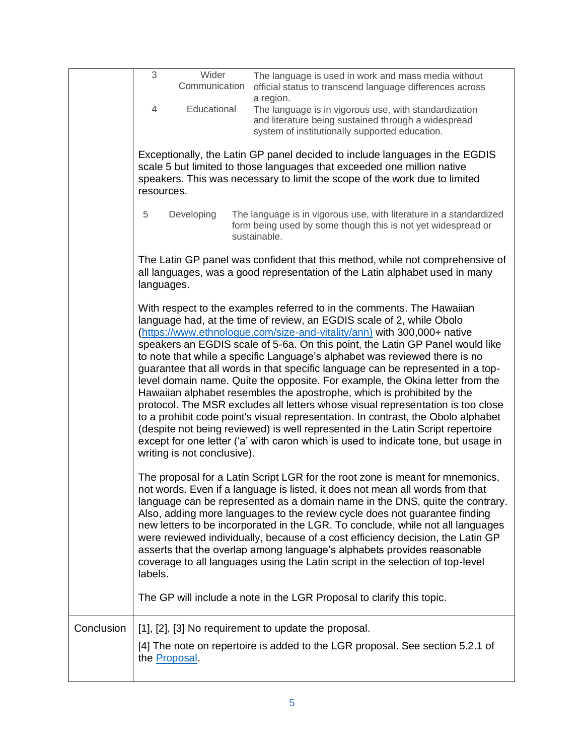|            | 3<br>Wider<br>Communication<br>Educational<br>4<br>resources. | The language is used in work and mass media without<br>official status to transcend language differences across<br>a region.<br>The language is in vigorous use, with standardization<br>and literature being sustained through a widespread<br>system of institutionally supported education.<br>Exceptionally, the Latin GP panel decided to include languages in the EGDIS<br>scale 5 but limited to those languages that exceeded one million native<br>speakers. This was necessary to limit the scope of the work due to limited                                                                                                                                                                                                                                                                                                                                                                                                                                                   |
|------------|---------------------------------------------------------------|------------------------------------------------------------------------------------------------------------------------------------------------------------------------------------------------------------------------------------------------------------------------------------------------------------------------------------------------------------------------------------------------------------------------------------------------------------------------------------------------------------------------------------------------------------------------------------------------------------------------------------------------------------------------------------------------------------------------------------------------------------------------------------------------------------------------------------------------------------------------------------------------------------------------------------------------------------------------------------------|
|            | 5<br>Developing                                               | The language is in vigorous use, with literature in a standardized<br>form being used by some though this is not yet widespread or<br>sustainable.                                                                                                                                                                                                                                                                                                                                                                                                                                                                                                                                                                                                                                                                                                                                                                                                                                       |
|            | languages.                                                    | The Latin GP panel was confident that this method, while not comprehensive of<br>all languages, was a good representation of the Latin alphabet used in many                                                                                                                                                                                                                                                                                                                                                                                                                                                                                                                                                                                                                                                                                                                                                                                                                             |
|            | writing is not conclusive).                                   | With respect to the examples referred to in the comments. The Hawaiian<br>language had, at the time of review, an EGDIS scale of 2, while Obolo<br>(https://www.ethnologue.com/size-and-vitality/ann) with 300,000+ native<br>speakers an EGDIS scale of 5-6a. On this point, the Latin GP Panel would like<br>to note that while a specific Language's alphabet was reviewed there is no<br>guarantee that all words in that specific language can be represented in a top-<br>level domain name. Quite the opposite. For example, the Okina letter from the<br>Hawaiian alphabet resembles the apostrophe, which is prohibited by the<br>protocol. The MSR excludes all letters whose visual representation is too close<br>to a prohibit code point's visual representation. In contrast, the Obolo alphabet<br>(despite not being reviewed) is well represented in the Latin Script repertoire<br>except for one letter ('a' with caron which is used to indicate tone, but usage in |
|            | labels.                                                       | The proposal for a Latin Script LGR for the root zone is meant for mnemonics,<br>not words. Even if a language is listed, it does not mean all words from that<br>language can be represented as a domain name in the DNS, quite the contrary.<br>Also, adding more languages to the review cycle does not guarantee finding<br>new letters to be incorporated in the LGR. To conclude, while not all languages<br>were reviewed individually, because of a cost efficiency decision, the Latin GP<br>asserts that the overlap among language's alphabets provides reasonable<br>coverage to all languages using the Latin script in the selection of top-level<br>The GP will include a note in the LGR Proposal to clarify this topic.                                                                                                                                                                                                                                                 |
| Conclusion | the Proposal.                                                 | [1], [2], [3] No requirement to update the proposal.<br>[4] The note on repertoire is added to the LGR proposal. See section 5.2.1 of                                                                                                                                                                                                                                                                                                                                                                                                                                                                                                                                                                                                                                                                                                                                                                                                                                                    |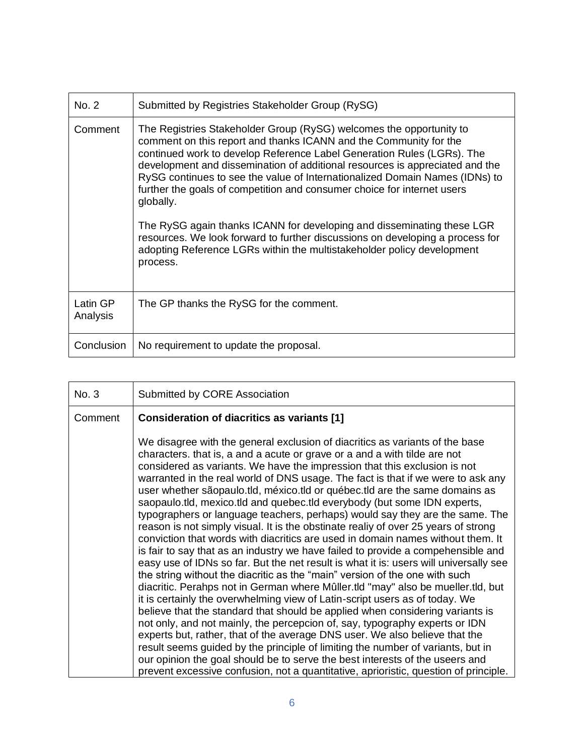| No. 2                | Submitted by Registries Stakeholder Group (RySG)                                                                                                                                                                                                                                                                                                                                                                                                                                                                                                                                                                                                                                                                           |
|----------------------|----------------------------------------------------------------------------------------------------------------------------------------------------------------------------------------------------------------------------------------------------------------------------------------------------------------------------------------------------------------------------------------------------------------------------------------------------------------------------------------------------------------------------------------------------------------------------------------------------------------------------------------------------------------------------------------------------------------------------|
| Comment              | The Registries Stakeholder Group (RySG) welcomes the opportunity to<br>comment on this report and thanks ICANN and the Community for the<br>continued work to develop Reference Label Generation Rules (LGRs). The<br>development and dissemination of additional resources is appreciated and the<br>RySG continues to see the value of Internationalized Domain Names (IDNs) to<br>further the goals of competition and consumer choice for internet users<br>globally.<br>The RySG again thanks ICANN for developing and disseminating these LGR<br>resources. We look forward to further discussions on developing a process for<br>adopting Reference LGRs within the multistakeholder policy development<br>process. |
| Latin GP<br>Analysis | The GP thanks the RySG for the comment.                                                                                                                                                                                                                                                                                                                                                                                                                                                                                                                                                                                                                                                                                    |
| Conclusion           | No requirement to update the proposal.                                                                                                                                                                                                                                                                                                                                                                                                                                                                                                                                                                                                                                                                                     |

| No. 3   | Submitted by CORE Association                                                                                                                                                                                                                                                                                                                                                                                                                                                                                                                                                                                                                                                                                                                                                                                                                                                                                                                                                                                                                                                                                                                                                 |
|---------|-------------------------------------------------------------------------------------------------------------------------------------------------------------------------------------------------------------------------------------------------------------------------------------------------------------------------------------------------------------------------------------------------------------------------------------------------------------------------------------------------------------------------------------------------------------------------------------------------------------------------------------------------------------------------------------------------------------------------------------------------------------------------------------------------------------------------------------------------------------------------------------------------------------------------------------------------------------------------------------------------------------------------------------------------------------------------------------------------------------------------------------------------------------------------------|
| Comment | Consideration of diacritics as variants [1]                                                                                                                                                                                                                                                                                                                                                                                                                                                                                                                                                                                                                                                                                                                                                                                                                                                                                                                                                                                                                                                                                                                                   |
|         | We disagree with the general exclusion of diacritics as variants of the base<br>characters. that is, a and a acute or grave or a and a with tilde are not<br>considered as variants. We have the impression that this exclusion is not<br>warranted in the real world of DNS usage. The fact is that if we were to ask any<br>user whether sãopaulo.tld, méxico.tld or québec.tld are the same domains as<br>saopaulo.tld, mexico.tld and quebec.tld everybody (but some IDN experts,<br>typographers or language teachers, perhaps) would say they are the same. The<br>reason is not simply visual. It is the obstinate realiy of over 25 years of strong<br>conviction that words with diacritics are used in domain names without them. It<br>is fair to say that as an industry we have failed to provide a compehensible and<br>easy use of IDNs so far. But the net result is what it is: users will universally see<br>the string without the diacritic as the "main" version of the one with such<br>diacritic. Perahps not in German where Mûller.tld "may" also be mueller.tld, but<br>it is certainly the overwhelming view of Latin-script users as of today. We |
|         | believe that the standard that should be applied when considering variants is<br>not only, and not mainly, the percepcion of, say, typography experts or IDN<br>experts but, rather, that of the average DNS user. We also believe that the                                                                                                                                                                                                                                                                                                                                                                                                                                                                                                                                                                                                                                                                                                                                                                                                                                                                                                                                   |
|         | result seems guided by the principle of limiting the number of variants, but in<br>our opinion the goal should be to serve the best interests of the useers and<br>prevent excessive confusion, not a quantitative, aprioristic, question of principle.                                                                                                                                                                                                                                                                                                                                                                                                                                                                                                                                                                                                                                                                                                                                                                                                                                                                                                                       |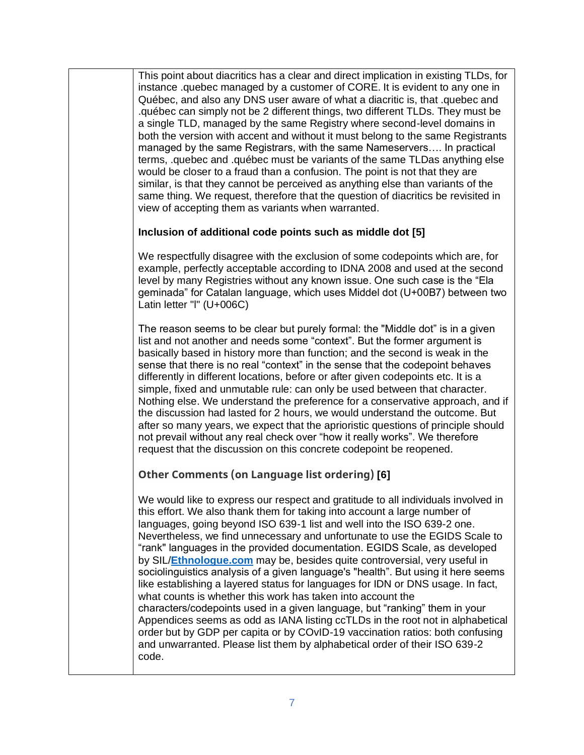This point about diacritics has a clear and direct implication in existing TLDs, for instance .quebec managed by a customer of CORE. It is evident to any one in Québec, and also any DNS user aware of what a diacritic is, that .quebec and .québec can simply not be 2 different things, two different TLDs. They must be a single TLD, managed by the same Registry where second-level domains in both the version with accent and without it must belong to the same Registrants managed by the same Registrars, with the same Nameservers…. In practical terms, .quebec and .québec must be variants of the same TLDas anything else would be closer to a fraud than a confusion. The point is not that they are similar, is that they cannot be perceived as anything else than variants of the same thing. We request, therefore that the question of diacritics be revisited in view of accepting them as variants when warranted.

#### **Inclusion of additional code points such as middle dot [5]**

We respectfully disagree with the exclusion of some codepoints which are, for example, perfectly acceptable according to IDNA 2008 and used at the second level by many Registries without any known issue. One such case is the "Ela geminada" for Catalan language, which uses Middel dot (U+00B7) between two Latin letter "l" (U+006C)

The reason seems to be clear but purely formal: the "Middle dot" is in a given list and not another and needs some "context". But the former argument is basically based in history more than function; and the second is weak in the sense that there is no real "context" in the sense that the codepoint behaves differently in different locations, before or after given codepoints etc. It is a simple, fixed and unmutable rule: can only be used between that character. Nothing else. We understand the preference for a conservative approach, and if the discussion had lasted for 2 hours, we would understand the outcome. But after so many years, we expect that the aprioristic questions of principle should not prevail without any real check over "how it really works". We therefore request that the discussion on this concrete codepoint be reopened.

#### **Other Comments (on Language list ordering) [6]**

We would like to express our respect and gratitude to all individuals involved in this effort. We also thank them for taking into account a large number of languages, going beyond ISO 639-1 list and well into the ISO 639-2 one. Nevertheless, we find unnecessary and unfortunate to use the EGIDS Scale to "rank" languages in the provided documentation. EGIDS Scale, as developed by SIL/**[Ethnologue.com](https://ethnologue.com/)** may be, besides quite controversial, very useful in sociolinguistics analysis of a given language's "health". But using it here seems like establishing a layered status for languages for IDN or DNS usage. In fact, what counts is whether this work has taken into account the characters/codepoints used in a given language, but "ranking" them in your Appendices seems as odd as IANA listing ccTLDs in the root not in alphabetical order but by GDP per capita or by COvID-19 vaccination ratios: both confusing and unwarranted. Please list them by alphabetical order of their ISO 639-2 code.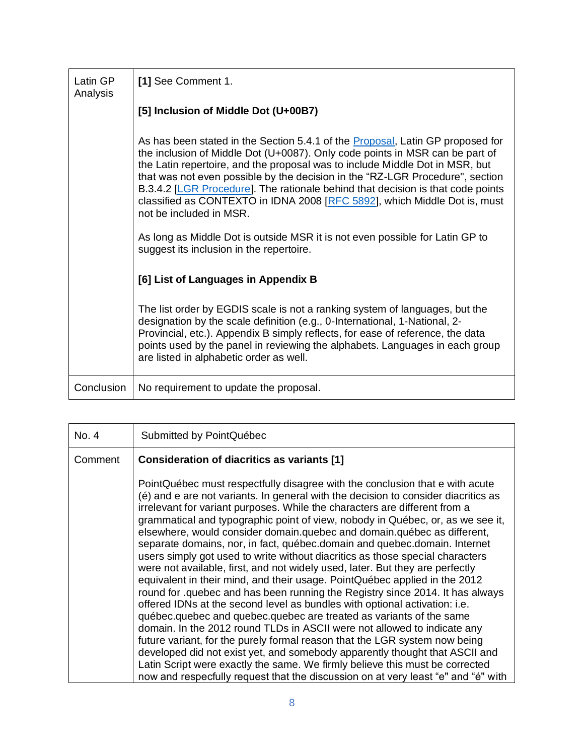| Latin GP<br>Analysis | [1] See Comment 1.                                                                                                                                                                                                                                                                                                                                                                                                                                                                                                         |
|----------------------|----------------------------------------------------------------------------------------------------------------------------------------------------------------------------------------------------------------------------------------------------------------------------------------------------------------------------------------------------------------------------------------------------------------------------------------------------------------------------------------------------------------------------|
|                      | [5] Inclusion of Middle Dot (U+00B7)                                                                                                                                                                                                                                                                                                                                                                                                                                                                                       |
|                      | As has been stated in the Section 5.4.1 of the Proposal, Latin GP proposed for<br>the inclusion of Middle Dot (U+0087). Only code points in MSR can be part of<br>the Latin repertoire, and the proposal was to include Middle Dot in MSR, but<br>that was not even possible by the decision in the "RZ-LGR Procedure", section<br>B.3.4.2 [LGR Procedure]. The rationale behind that decision is that code points<br>classified as CONTEXTO in IDNA 2008 [RFC 5892], which Middle Dot is, must<br>not be included in MSR. |
|                      | As long as Middle Dot is outside MSR it is not even possible for Latin GP to<br>suggest its inclusion in the repertoire.                                                                                                                                                                                                                                                                                                                                                                                                   |
|                      | [6] List of Languages in Appendix B                                                                                                                                                                                                                                                                                                                                                                                                                                                                                        |
|                      | The list order by EGDIS scale is not a ranking system of languages, but the<br>designation by the scale definition (e.g., 0-International, 1-National, 2-<br>Provincial, etc.). Appendix B simply reflects, for ease of reference, the data<br>points used by the panel in reviewing the alphabets. Languages in each group<br>are listed in alphabetic order as well.                                                                                                                                                     |
| Conclusion           | No requirement to update the proposal.                                                                                                                                                                                                                                                                                                                                                                                                                                                                                     |

| No. 4   | Submitted by PointQuébec                                                                                                                                                                                                                                                                                                                                                                                                                                                                                                                                                                                                                                                                                                                                                                                                                                                                                                                                                                                                                                                                                                                                                                                                                                                                                                                                                                       |
|---------|------------------------------------------------------------------------------------------------------------------------------------------------------------------------------------------------------------------------------------------------------------------------------------------------------------------------------------------------------------------------------------------------------------------------------------------------------------------------------------------------------------------------------------------------------------------------------------------------------------------------------------------------------------------------------------------------------------------------------------------------------------------------------------------------------------------------------------------------------------------------------------------------------------------------------------------------------------------------------------------------------------------------------------------------------------------------------------------------------------------------------------------------------------------------------------------------------------------------------------------------------------------------------------------------------------------------------------------------------------------------------------------------|
| Comment | Consideration of diacritics as variants [1]                                                                                                                                                                                                                                                                                                                                                                                                                                                                                                                                                                                                                                                                                                                                                                                                                                                                                                                                                                                                                                                                                                                                                                                                                                                                                                                                                    |
|         | PointQuébec must respectfully disagree with the conclusion that e with acute<br>(é) and e are not variants. In general with the decision to consider diacritics as<br>irrelevant for variant purposes. While the characters are different from a<br>grammatical and typographic point of view, nobody in Québec, or, as we see it,<br>elsewhere, would consider domain.quebec and domain.québec as different,<br>separate domains, nor, in fact, québec.domain and quebec.domain. Internet<br>users simply got used to write without diacritics as those special characters<br>were not available, first, and not widely used, later. But they are perfectly<br>equivalent in their mind, and their usage. PointQuébec applied in the 2012<br>round for .quebec and has been running the Registry since 2014. It has always<br>offered IDNs at the second level as bundles with optional activation: i.e.<br>québec.quebec and quebec.quebec are treated as variants of the same<br>domain. In the 2012 round TLDs in ASCII were not allowed to indicate any<br>future variant, for the purely formal reason that the LGR system now being<br>developed did not exist yet, and somebody apparently thought that ASCII and<br>Latin Script were exactly the same. We firmly believe this must be corrected<br>now and respecfully request that the discussion on at very least "e" and "é" with |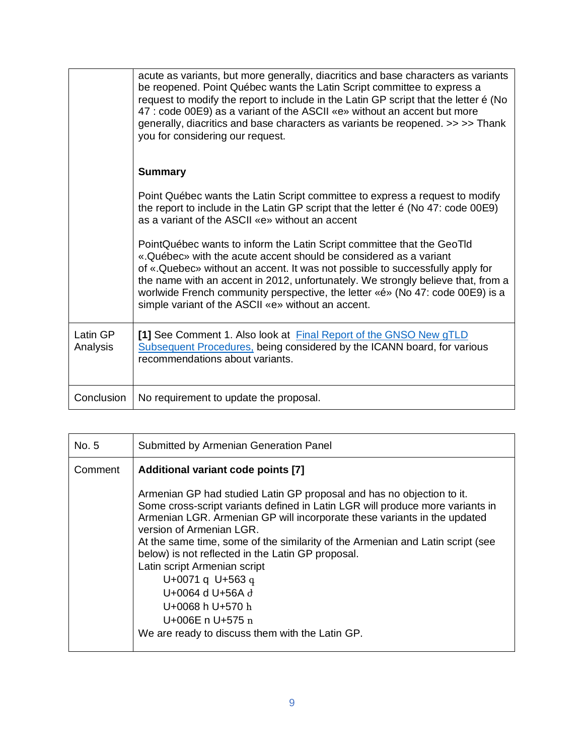|                      | acute as variants, but more generally, diacritics and base characters as variants<br>be reopened. Point Québec wants the Latin Script committee to express a<br>request to modify the report to include in the Latin GP script that the letter é (No<br>47 : code 00E9) as a variant of the ASCII «e» without an accent but more<br>generally, diacritics and base characters as variants be reopened. >> >> Thank<br>you for considering our request.  |
|----------------------|---------------------------------------------------------------------------------------------------------------------------------------------------------------------------------------------------------------------------------------------------------------------------------------------------------------------------------------------------------------------------------------------------------------------------------------------------------|
|                      | <b>Summary</b>                                                                                                                                                                                                                                                                                                                                                                                                                                          |
|                      | Point Québec wants the Latin Script committee to express a request to modify<br>the report to include in the Latin GP script that the letter $\acute{e}$ (No 47: code 00E9)<br>as a variant of the ASCII «e» without an accent                                                                                                                                                                                                                          |
|                      | PointQuébec wants to inform the Latin Script committee that the GeoTld<br>«.Québec» with the acute accent should be considered as a variant<br>of «.Quebec» without an accent. It was not possible to successfully apply for<br>the name with an accent in 2012, unfortunately. We strongly believe that, from a<br>worlwide French community perspective, the letter «é» (No 47: code 00E9) is a<br>simple variant of the ASCII «e» without an accent. |
| Latin GP<br>Analysis | [1] See Comment 1. Also look at Final Report of the GNSO New gTLD<br>Subsequent Procedures, being considered by the ICANN board, for various<br>recommendations about variants.                                                                                                                                                                                                                                                                         |
| Conclusion           | No requirement to update the proposal.                                                                                                                                                                                                                                                                                                                                                                                                                  |

| No. 5   | Submitted by Armenian Generation Panel                                                                                                                                                                                                                                                                                                                                                                                                                                                                                                                                   |
|---------|--------------------------------------------------------------------------------------------------------------------------------------------------------------------------------------------------------------------------------------------------------------------------------------------------------------------------------------------------------------------------------------------------------------------------------------------------------------------------------------------------------------------------------------------------------------------------|
| Comment | Additional variant code points [7]                                                                                                                                                                                                                                                                                                                                                                                                                                                                                                                                       |
|         | Armenian GP had studied Latin GP proposal and has no objection to it.<br>Some cross-script variants defined in Latin LGR will produce more variants in<br>Armenian LGR. Armenian GP will incorporate these variants in the updated<br>version of Armenian LGR.<br>At the same time, some of the similarity of the Armenian and Latin script (see<br>below) is not reflected in the Latin GP proposal.<br>Latin script Armenian script<br>U+0071 q U+563 q<br>U+0064 d U+56A d<br>U+0068 h U+570 h<br>U+006E n U+575 n<br>We are ready to discuss them with the Latin GP. |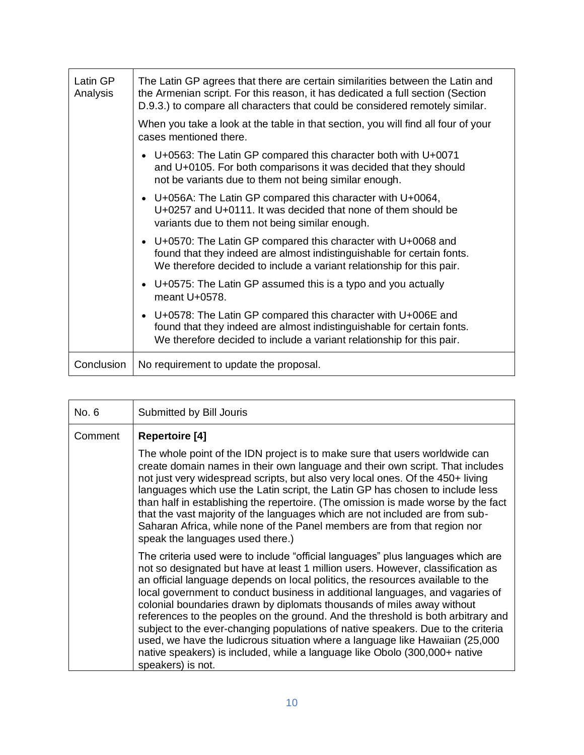| Latin GP<br>Analysis | The Latin GP agrees that there are certain similarities between the Latin and<br>the Armenian script. For this reason, it has dedicated a full section (Section<br>D.9.3.) to compare all characters that could be considered remotely similar. |
|----------------------|-------------------------------------------------------------------------------------------------------------------------------------------------------------------------------------------------------------------------------------------------|
|                      | When you take a look at the table in that section, you will find all four of your<br>cases mentioned there.                                                                                                                                     |
|                      | • U+0563: The Latin GP compared this character both with U+0071<br>and U+0105. For both comparisons it was decided that they should<br>not be variants due to them not being similar enough.                                                    |
|                      | • U+056A: The Latin GP compared this character with U+0064,<br>U+0257 and U+0111. It was decided that none of them should be<br>variants due to them not being similar enough.                                                                  |
|                      | • U+0570: The Latin GP compared this character with U+0068 and<br>found that they indeed are almost indistinguishable for certain fonts.<br>We therefore decided to include a variant relationship for this pair.                               |
|                      | U+0575: The Latin GP assumed this is a typo and you actually<br>$\bullet$<br>meant U+0578.                                                                                                                                                      |
|                      | U+0578: The Latin GP compared this character with U+006E and<br>$\bullet$<br>found that they indeed are almost indistinguishable for certain fonts.<br>We therefore decided to include a variant relationship for this pair.                    |
| Conclusion           | No requirement to update the proposal.                                                                                                                                                                                                          |

| No. 6   | Submitted by Bill Jouris                                                                                                                                                                                                                                                                                                                                                                                                                                                                                                                                                                                                                                                                                                                                                   |
|---------|----------------------------------------------------------------------------------------------------------------------------------------------------------------------------------------------------------------------------------------------------------------------------------------------------------------------------------------------------------------------------------------------------------------------------------------------------------------------------------------------------------------------------------------------------------------------------------------------------------------------------------------------------------------------------------------------------------------------------------------------------------------------------|
| Comment | <b>Repertoire [4]</b>                                                                                                                                                                                                                                                                                                                                                                                                                                                                                                                                                                                                                                                                                                                                                      |
|         | The whole point of the IDN project is to make sure that users worldwide can<br>create domain names in their own language and their own script. That includes<br>not just very widespread scripts, but also very local ones. Of the 450+ living<br>languages which use the Latin script, the Latin GP has chosen to include less<br>than half in establishing the repertoire. (The omission is made worse by the fact<br>that the vast majority of the languages which are not included are from sub-<br>Saharan Africa, while none of the Panel members are from that region nor<br>speak the languages used there.)                                                                                                                                                       |
|         | The criteria used were to include "official languages" plus languages which are<br>not so designated but have at least 1 million users. However, classification as<br>an official language depends on local politics, the resources available to the<br>local government to conduct business in additional languages, and vagaries of<br>colonial boundaries drawn by diplomats thousands of miles away without<br>references to the peoples on the ground. And the threshold is both arbitrary and<br>subject to the ever-changing populations of native speakers. Due to the criteria<br>used, we have the ludicrous situation where a language like Hawaiian (25,000<br>native speakers) is included, while a language like Obolo (300,000+ native<br>speakers) is not. |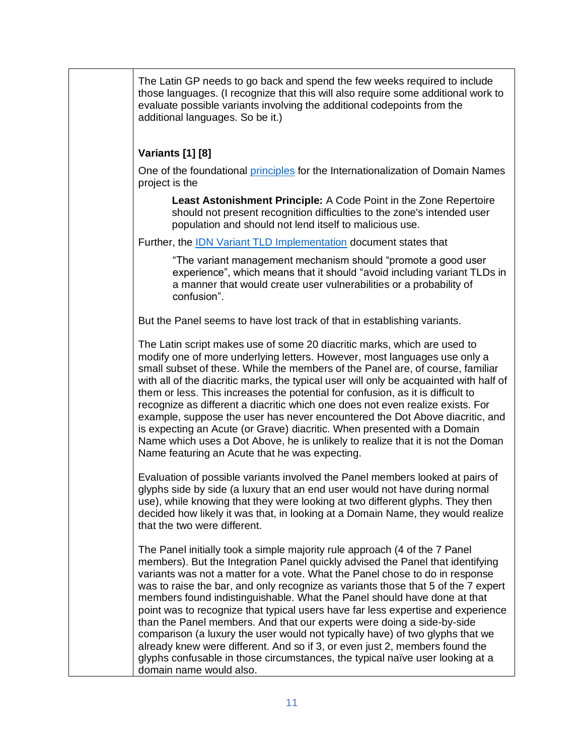The Latin GP needs to go back and spend the few weeks required to include those languages. (I recognize that this will also require some additional work to evaluate possible variants involving the additional codepoints from the additional languages. So be it.)

### **Variants [1] [8]**

One of the foundational [principles](https://www.icann.org/en/system/files/files/lgr-procedure-20mar13-en.pdf) for the Internationalization of Domain Names project is the

**Least Astonishment Principle:** A Code Point in the Zone Repertoire should not present recognition difficulties to the zone's intended user population and should not lend itself to malicious use.

Further, the [IDN Variant TLD Implementation](https://www.icann.org/resources/pages/idn-variant-tld-implementation-2018-07-26-en) document states that

"The variant management mechanism should "promote a good user experience", which means that it should "avoid including variant TLDs in a manner that would create user vulnerabilities or a probability of confusion".

But the Panel seems to have lost track of that in establishing variants.

The Latin script makes use of some 20 diacritic marks, which are used to modify one of more underlying letters. However, most languages use only a small subset of these. While the members of the Panel are, of course, familiar with all of the diacritic marks, the typical user will only be acquainted with half of them or less. This increases the potential for confusion, as it is difficult to recognize as different a diacritic which one does not even realize exists. For example, suppose the user has never encountered the Dot Above diacritic, and is expecting an Acute (or Grave) diacritic. When presented with a Domain Name which uses a Dot Above, he is unlikely to realize that it is not the Doman Name featuring an Acute that he was expecting.

Evaluation of possible variants involved the Panel members looked at pairs of glyphs side by side (a luxury that an end user would not have during normal use), while knowing that they were looking at two different glyphs. They then decided how likely it was that, in looking at a Domain Name, they would realize that the two were different.

The Panel initially took a simple majority rule approach (4 of the 7 Panel members). But the Integration Panel quickly advised the Panel that identifying variants was not a matter for a vote. What the Panel chose to do in response was to raise the bar, and only recognize as variants those that 5 of the 7 expert members found indistinguishable. What the Panel should have done at that point was to recognize that typical users have far less expertise and experience than the Panel members. And that our experts were doing a side-by-side comparison (a luxury the user would not typically have) of two glyphs that we already knew were different. And so if 3, or even just 2, members found the glyphs confusable in those circumstances, the typical naïve user looking at a domain name would also.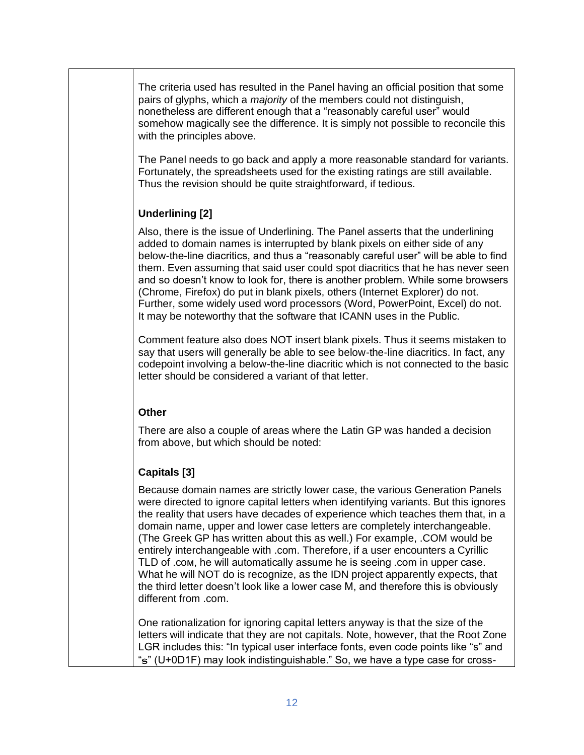The criteria used has resulted in the Panel having an official position that some pairs of glyphs, which a *majority* of the members could not distinguish, nonetheless are different enough that a "reasonably careful user" would somehow magically see the difference. It is simply not possible to reconcile this with the principles above.

The Panel needs to go back and apply a more reasonable standard for variants. Fortunately, the spreadsheets used for the existing ratings are still available. Thus the revision should be quite straightforward, if tedious.

#### **Underlining [2]**

Also, there is the issue of Underlining. The Panel asserts that the underlining added to domain names is interrupted by blank pixels on either side of any below-the-line diacritics, and thus a "reasonably careful user" will be able to find them. Even assuming that said user could spot diacritics that he has never seen and so doesn't know to look for, there is another problem. While some browsers (Chrome, Firefox) do put in blank pixels, others (Internet Explorer) do not. Further, some widely used word processors (Word, PowerPoint, Excel) do not. It may be noteworthy that the software that ICANN uses in the Public.

Comment feature also does NOT insert blank pixels. Thus it seems mistaken to say that users will generally be able to see below-the-line diacritics. In fact, any codepoint involving a below-the-line diacritic which is not connected to the basic letter should be considered a variant of that letter.

#### **Other**

There are also a couple of areas where the Latin GP was handed a decision from above, but which should be noted:

# **Capitals [3]**

Because domain names are strictly lower case, the various Generation Panels were directed to ignore capital letters when identifying variants. But this ignores the reality that users have decades of experience which teaches them that, in a domain name, upper and lower case letters are completely interchangeable. (The Greek GP has written about this as well.) For example, .COM would be entirely interchangeable with .com. Therefore, if a user encounters a Cyrillic TLD of .сом, he will automatically assume he is seeing .com in upper case. What he will NOT do is recognize, as the IDN project apparently expects, that the third letter doesn't look like a lower case M, and therefore this is obviously different from .com.

One rationalization for ignoring capital letters anyway is that the size of the letters will indicate that they are not capitals. Note, however, that the Root Zone LGR includes this: "In typical user interface fonts, even code points like "s" and "ട" (U+0D1F) may look indistinguishable." So, we have a type case for cross-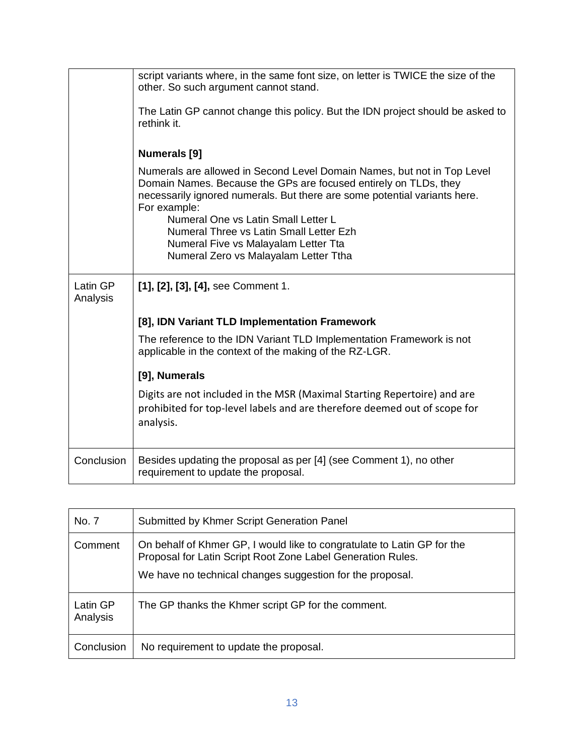|                      | script variants where, in the same font size, on letter is TWICE the size of the<br>other. So such argument cannot stand.                                                                                                                                                       |
|----------------------|---------------------------------------------------------------------------------------------------------------------------------------------------------------------------------------------------------------------------------------------------------------------------------|
|                      | The Latin GP cannot change this policy. But the IDN project should be asked to<br>rethink it.                                                                                                                                                                                   |
|                      | <b>Numerals</b> [9]                                                                                                                                                                                                                                                             |
|                      | Numerals are allowed in Second Level Domain Names, but not in Top Level<br>Domain Names. Because the GPs are focused entirely on TLDs, they<br>necessarily ignored numerals. But there are some potential variants here.<br>For example:<br>Numeral One vs Latin Small Letter L |
|                      | Numeral Three vs Latin Small Letter Ezh                                                                                                                                                                                                                                         |
|                      | Numeral Five vs Malayalam Letter Tta                                                                                                                                                                                                                                            |
|                      | Numeral Zero vs Malayalam Letter Ttha                                                                                                                                                                                                                                           |
| Latin GP<br>Analysis | [1], [2], [3], [4], see Comment 1.                                                                                                                                                                                                                                              |
|                      | [8], IDN Variant TLD Implementation Framework                                                                                                                                                                                                                                   |
|                      | The reference to the IDN Variant TLD Implementation Framework is not<br>applicable in the context of the making of the RZ-LGR.                                                                                                                                                  |
|                      | [9], Numerals                                                                                                                                                                                                                                                                   |
|                      | Digits are not included in the MSR (Maximal Starting Repertoire) and are<br>prohibited for top-level labels and are therefore deemed out of scope for<br>analysis.                                                                                                              |
|                      |                                                                                                                                                                                                                                                                                 |
| Conclusion           | Besides updating the proposal as per [4] (see Comment 1), no other<br>requirement to update the proposal.                                                                                                                                                                       |

| No. 7                | Submitted by Khmer Script Generation Panel                                                                                                                                                          |
|----------------------|-----------------------------------------------------------------------------------------------------------------------------------------------------------------------------------------------------|
| Comment              | On behalf of Khmer GP, I would like to congratulate to Latin GP for the<br>Proposal for Latin Script Root Zone Label Generation Rules.<br>We have no technical changes suggestion for the proposal. |
| Latin GP<br>Analysis | The GP thanks the Khmer script GP for the comment.                                                                                                                                                  |
| Conclusion           | No requirement to update the proposal.                                                                                                                                                              |